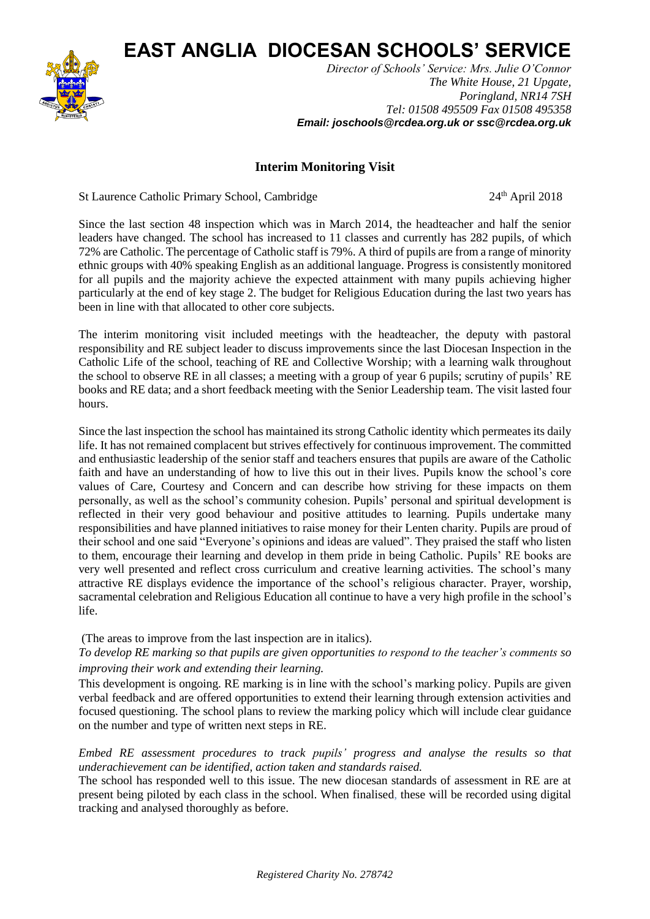**EAST ANGLIA DIOCESAN SCHOOLS' SERVICE**



*Director of Schools' Service: Mrs. Julie O'Connor The White House, 21 Upgate, Poringland, NR14 7SH Tel: 01508 495509 Fax 01508 495358 Email: joschools@rcdea.org.uk or ssc@rcdea.org.uk*

## **Interim Monitoring Visit**

St Laurence Catholic Primary School, Cambridge 24<sup>th</sup> April 2018

Since the last section 48 inspection which was in March 2014, the headteacher and half the senior leaders have changed. The school has increased to 11 classes and currently has 282 pupils, of which 72% are Catholic. The percentage of Catholic staff is 79%. A third of pupils are from a range of minority ethnic groups with 40% speaking English as an additional language. Progress is consistently monitored for all pupils and the majority achieve the expected attainment with many pupils achieving higher particularly at the end of key stage 2. The budget for Religious Education during the last two years has been in line with that allocated to other core subjects.

The interim monitoring visit included meetings with the headteacher, the deputy with pastoral responsibility and RE subject leader to discuss improvements since the last Diocesan Inspection in the Catholic Life of the school, teaching of RE and Collective Worship; with a learning walk throughout the school to observe RE in all classes; a meeting with a group of year 6 pupils; scrutiny of pupils' RE books and RE data; and a short feedback meeting with the Senior Leadership team. The visit lasted four hours.

Since the last inspection the school has maintained its strong Catholic identity which permeates its daily life. It has not remained complacent but strives effectively for continuous improvement. The committed and enthusiastic leadership of the senior staff and teachers ensures that pupils are aware of the Catholic faith and have an understanding of how to live this out in their lives. Pupils know the school's core values of Care, Courtesy and Concern and can describe how striving for these impacts on them personally, as well as the school's community cohesion. Pupils' personal and spiritual development is reflected in their very good behaviour and positive attitudes to learning. Pupils undertake many responsibilities and have planned initiatives to raise money for their Lenten charity. Pupils are proud of their school and one said "Everyone's opinions and ideas are valued". They praised the staff who listen to them, encourage their learning and develop in them pride in being Catholic. Pupils' RE books are very well presented and reflect cross curriculum and creative learning activities. The school's many attractive RE displays evidence the importance of the school's religious character. Prayer, worship, sacramental celebration and Religious Education all continue to have a very high profile in the school's life.

(The areas to improve from the last inspection are in italics).

*To develop RE marking so that pupils are given opportunities to respond to the teacher's comments so improving their work and extending their learning.* 

This development is ongoing. RE marking is in line with the school's marking policy. Pupils are given verbal feedback and are offered opportunities to extend their learning through extension activities and focused questioning. The school plans to review the marking policy which will include clear guidance on the number and type of written next steps in RE.

## *Embed RE assessment procedures to track pupils' progress and analyse the results so that underachievement can be identified, action taken and standards raised.*

The school has responded well to this issue. The new diocesan standards of assessment in RE are at present being piloted by each class in the school. When finalised, these will be recorded using digital tracking and analysed thoroughly as before.